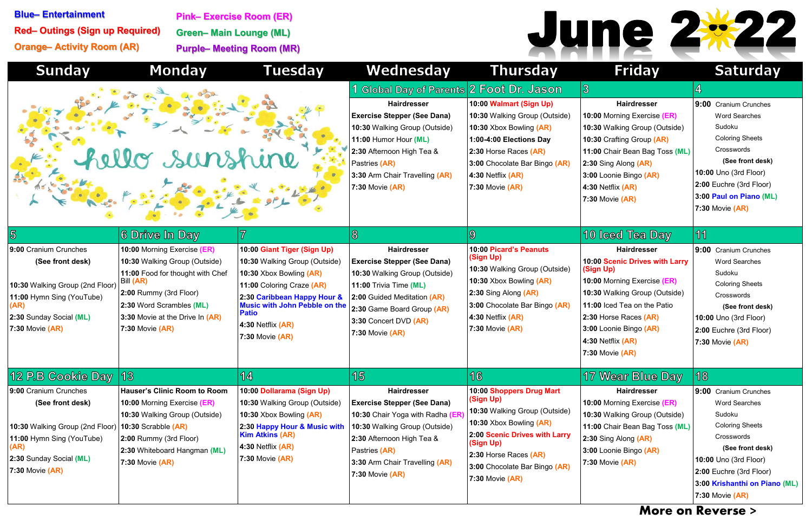| <b>Sunday</b>                                                                                                                                                                               | <b>Monday</b>                                                                                                                                                                                                             | <b>Tuesday</b>                                                                                                                                                                                                                                      | Wednesday                                                                                                                                                                                                                                                              | <b>Thursday</b>                                                                                                                                                                                                                  | <b>Friday</b>                                                                                                                                                                                                                                                       | <b>Saturday</b>                                                                                                                                                                                                                                            |
|---------------------------------------------------------------------------------------------------------------------------------------------------------------------------------------------|---------------------------------------------------------------------------------------------------------------------------------------------------------------------------------------------------------------------------|-----------------------------------------------------------------------------------------------------------------------------------------------------------------------------------------------------------------------------------------------------|------------------------------------------------------------------------------------------------------------------------------------------------------------------------------------------------------------------------------------------------------------------------|----------------------------------------------------------------------------------------------------------------------------------------------------------------------------------------------------------------------------------|---------------------------------------------------------------------------------------------------------------------------------------------------------------------------------------------------------------------------------------------------------------------|------------------------------------------------------------------------------------------------------------------------------------------------------------------------------------------------------------------------------------------------------------|
|                                                                                                                                                                                             | ello sunshine                                                                                                                                                                                                             |                                                                                                                                                                                                                                                     | <b>Global Day of Parents 2 Foot Dr. Jason</b><br><b>Hairdresser</b><br><b>Exercise Stepper (See Dana)</b><br>10:30 Walking Group (Outside)<br>11:00 Humor Hour (ML)<br>2:30 Afternoon High Tea &<br>Pastries (AR)<br>3:30 Arm Chair Travelling (AR)<br>7:30 Movie (AR) | 10:00 Walmart (Sign Up)<br>10:30 Walking Group (Outside)<br>10:30 Xbox Bowling (AR)<br>1:00-4:00 Elections Day<br>2:30 Horse Races (AR)<br>3:00 Chocolate Bar Bingo (AR)<br>4:30 Netflix $(AR)$<br>7:30 Movie $(AR)$             | $\mathfrak{B}$<br><b>Hairdresser</b><br>10:00 Morning Exercise (ER)<br>10:30 Walking Group (Outside)<br>10:30 Crafting Group (AR)<br>11:00 Chair Bean Bag Toss (ML)<br>2:30 Sing Along (AR)<br>3:00 Loonie Bingo (AR)<br>4:30 Netflix $(AR)$<br>$7:30$ Movie $(AR)$ | 4<br>9:00 Cranium Crunches<br><b>Word Searches</b><br>Sudoku<br><b>Coloring Sheets</b><br>Crosswords<br>(See front desk)<br><b>10:00 Uno (3rd Floor)</b><br>2:00 Euchre (3rd Floor)<br>3:00 Paul on Piano (ML)<br>7:30 Movie $(AR)$                        |
| $\overline{5}$                                                                                                                                                                              | 6 Drive In Day                                                                                                                                                                                                            |                                                                                                                                                                                                                                                     | $\infty$                                                                                                                                                                                                                                                               | $\mathbf{9}$                                                                                                                                                                                                                     | 10 Iced Tea Day                                                                                                                                                                                                                                                     | 11                                                                                                                                                                                                                                                         |
| 9:00 Cranium Crunches<br>(See front desk)<br>10:30 Walking Group (2nd Floor)<br>11:00 Hymn Sing (YouTube)<br>2:30 Sunday Social (ML)<br>7:30 Movie $(AR)$                                   | 10:00 Morning Exercise (ER)<br>10:30 Walking Group (Outside)<br>11:00 Food for thought with Chef<br>Bill (AR)<br>2:00 Rummy (3rd Floor)<br>2:30 Word Scrambles (ML)<br>3:30 Movie at the Drive In (AR)<br>7:30 Movie (AR) | 10:00 Giant Tiger (Sign Up)<br>10:30 Walking Group (Outside)<br>10:30 Xbox Bowling (AR)<br>11:00 Coloring Craze (AR)<br>2:30 Caribbean Happy Hour &<br><b>Music with John Pebble on the</b><br><b>Patio</b><br>4:30 Netflix (AR)<br>7:30 Movie (AR) | <b>Hairdresser</b><br><b>Exercise Stepper (See Dana)</b><br>10:30 Walking Group (Outside)<br>11:00 Trivia Time (ML)<br>2:00 Guided Meditation (AR)<br>2:30 Game Board Group (AR)<br>3:30 Concert DVD (AR)<br>$7:30$ Movie $(AR)$                                       | 10:00 Picard's Peanuts<br>(Sign Up)<br>10:30 Walking Group (Outside)<br>10:30 Xbox Bowling (AR)<br>$2:30$ Sing Along $(AR)$<br>3:00 Chocolate Bar Bingo (AR)<br>4:30 Netflix $(AR)$<br>$7:30$ Movie $(AR)$                       | <b>Hairdresser</b><br>10:00 Scenic Drives with Larry<br>(Sign Up)<br>10:00 Morning Exercise (ER)<br>10:30 Walking Group (Outside)<br>11:00 Iced Tea on the Patio<br>2:30 Horse Races (AR)<br>3:00 Loonie Bingo (AR)<br>4:30 Netflix (AR)<br>$ 7:30$ Movie $(AR)$    | 9:00 Cranium Crunches<br><b>Word Searches</b><br>Sudoku<br><b>Coloring Sheets</b><br>Crosswords<br>(See front desk)<br>10:00 Uno (3rd Floor)<br>2:00 Euchre (3rd Floor)<br>$7:30$ Movie $(AR)$                                                             |
| 12 P.B Cookie Day 13                                                                                                                                                                        |                                                                                                                                                                                                                           | 14                                                                                                                                                                                                                                                  | 15                                                                                                                                                                                                                                                                     | 16                                                                                                                                                                                                                               | 17 Wear Blue Day                                                                                                                                                                                                                                                    | 18                                                                                                                                                                                                                                                         |
| 9:00 Cranium Crunches<br>(See front desk)<br>10:30 Walking Group (2nd Floor) $ 10:30$ Scrabble (AR)<br>11:00 Hymn Sing (YouTube)<br>(AR)<br>2:30 Sunday Social (ML)<br>$ 7:30$ Movie $(AR)$ | <b>Hauser's Clinic Room to Room</b><br>10:00 Morning Exercise (ER)<br>10:30 Walking Group (Outside)<br>2:00 Rummy (3rd Floor)<br>2:30 Whiteboard Hangman (ML)<br><b>7:30 Movie (AR)</b>                                   | 10:00 Dollarama (Sign Up)<br>10:30 Walking Group (Outside)<br>10:30 Xbox Bowling (AR)<br>2:30 Happy Hour & Music with<br><b>Kim Atkins (AR)</b><br>4:30 Netflix (AR)<br>7:30 Movie (AR)                                                             | <b>Hairdresser</b><br><b>Exercise Stepper (See Dana)</b><br>10:30 Chair Yoga with Radha (ER)<br>10:30 Walking Group (Outside)<br>2:30 Afternoon High Tea &<br>Pastries (AR)<br>3:30 Arm Chair Travelling (AR)<br>7:30 Movie (AR)                                       | 10:00 Shoppers Drug Mart<br>(Sign Up)<br>10:30 Walking Group (Outside)<br>10:30 Xbox Bowling (AR)<br>2:00 Scenic Drives with Larry<br>(Sign Up)<br>2:30 Horse Races (AR)<br>3:00 Chocolate Bar Bingo (AR)<br>$7:30$ Movie $(AR)$ | <b>Hairdresser</b><br>10:00 Morning Exercise (ER)<br>10:30 Walking Group (Outside)<br>11:00 Chair Bean Bag Toss (ML)<br>2:30 Sing Along (AR)<br>3:00 Loonie Bingo (AR)<br>$7:30$ Movie $(AR)$<br><b>A</b> A                                                         | $9:00$ Cranium Crunches<br><b>Word Searches</b><br>Sudoku<br><b>Coloring Sheets</b><br>Crosswords<br>(See front desk)<br><b>10:00 Uno (3rd Floor)</b><br>2:00 Euchre (3rd Floor)<br>3:00 Krishanthi on Piano (ML)<br>$7:30$ Movie $(AR)$<br>$\blacksquare$ |



**Blue– Entertainment Red– Outings (Sign up Required) Orange– Activity Room (AR)**

**Pink– Exercise Room (ER) Green– Main Lounge (ML) Purple– Meeting Room (MR)**



## **More on Reverse >**